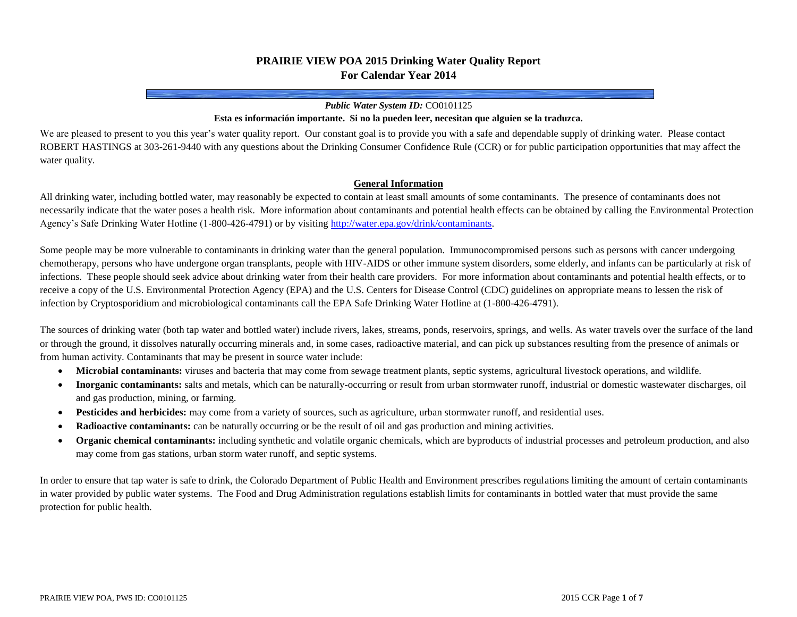# **PRAIRIE VIEW POA 2015 Drinking Water Quality Report For Calendar Year 2014**

### *Public Water System ID:* CO0101125

#### **Esta es información importante. Si no la pueden leer, necesitan que alguien se la traduzca.**

We are pleased to present to you this year's water quality report. Our constant goal is to provide you with a safe and dependable supply of drinking water. Please contact ROBERT HASTINGS at 303-261-9440 with any questions about the Drinking Consumer Confidence Rule (CCR) or for public participation opportunities that may affect the water quality.

### **General Information**

All drinking water, including bottled water, may reasonably be expected to contain at least small amounts of some contaminants. The presence of contaminants does not necessarily indicate that the water poses a health risk. More information about contaminants and potential health effects can be obtained by calling the Environmental Protection Agency's Safe Drinking Water Hotline (1-800-426-4791) or by visitin[g http://water.epa.gov/drink/contaminants.](http://water.epa.gov/drink/contaminants)

Some people may be more vulnerable to contaminants in drinking water than the general population. Immunocompromised persons such as persons with cancer undergoing chemotherapy, persons who have undergone organ transplants, people with HIV-AIDS or other immune system disorders, some elderly, and infants can be particularly at risk of infections. These people should seek advice about drinking water from their health care providers. For more information about contaminants and potential health effects, or to receive a copy of the U.S. Environmental Protection Agency (EPA) and the U.S. Centers for Disease Control (CDC) guidelines on appropriate means to lessen the risk of infection by Cryptosporidium and microbiological contaminants call the EPA Safe Drinking Water Hotline at (1-800-426-4791).

The sources of drinking water (both tap water and bottled water) include rivers, lakes, streams, ponds, reservoirs, springs, and wells. As water travels over the surface of the land or through the ground, it dissolves naturally occurring minerals and, in some cases, radioactive material, and can pick up substances resulting from the presence of animals or from human activity. Contaminants that may be present in source water include:

- **Microbial contaminants:** viruses and bacteria that may come from sewage treatment plants, septic systems, agricultural livestock operations, and wildlife.
- **Inorganic contaminants:** salts and metals, which can be naturally-occurring or result from urban stormwater runoff, industrial or domestic wastewater discharges, oil and gas production, mining, or farming.
- **Pesticides and herbicides:** may come from a variety of sources, such as agriculture, urban stormwater runoff, and residential uses.
- **Radioactive contaminants:** can be naturally occurring or be the result of oil and gas production and mining activities.
- **Organic chemical contaminants:** including synthetic and volatile organic chemicals, which are byproducts of industrial processes and petroleum production, and also may come from gas stations, urban storm water runoff, and septic systems.

In order to ensure that tap water is safe to drink, the Colorado Department of Public Health and Environment prescribes regulations limiting the amount of certain contaminants in water provided by public water systems. The Food and Drug Administration regulations establish limits for contaminants in bottled water that must provide the same protection for public health.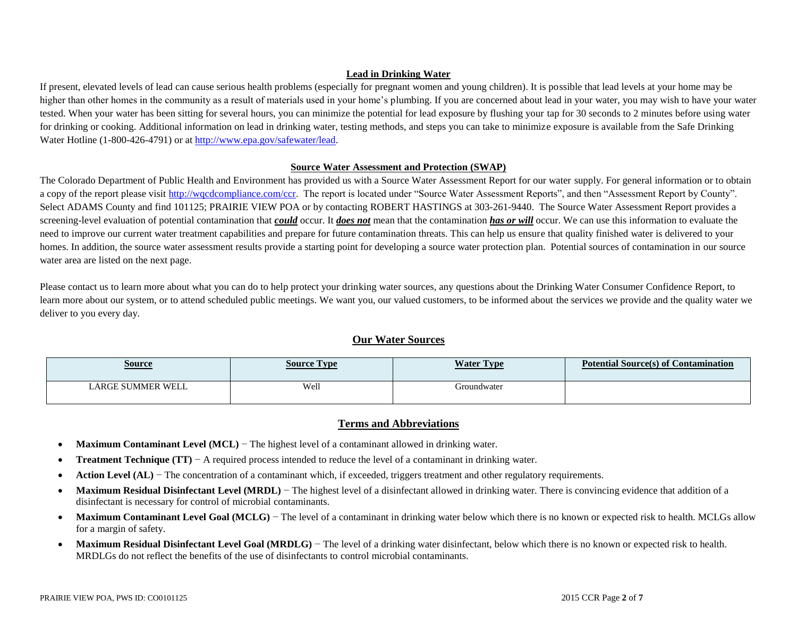## **Lead in Drinking Water**

If present, elevated levels of lead can cause serious health problems (especially for pregnant women and young children). It is possible that lead levels at your home may be higher than other homes in the community as a result of materials used in your home's plumbing. If you are concerned about lead in your water, you may wish to have your water tested. When your water has been sitting for several hours, you can minimize the potential for lead exposure by flushing your tap for 30 seconds to 2 minutes before using water for drinking or cooking. Additional information on lead in drinking water, testing methods, and steps you can take to minimize exposure is available from the Safe Drinking Water Hotline (1-800-426-4791) or a[t http://www.epa.gov/safewater/lead.](http://www.epa.gov/safewater/lead)

## **Source Water Assessment and Protection (SWAP)**

The Colorado Department of Public Health and Environment has provided us with a Source Water Assessment Report for our water supply. For general information or to obtain a copy of the report please visit [http://wqcdcompliance.com/ccr.](http://wqcdcompliance.com/ccr) The report is located under "Source Water Assessment Reports", and then "Assessment Report by County". Select ADAMS County and find 101125; PRAIRIE VIEW POA or by contacting ROBERT HASTINGS at 303-261-9440. The Source Water Assessment Report provides a screening-level evaluation of potential contamination that *could* occur. It *does not* mean that the contamination *has or will* occur. We can use this information to evaluate the need to improve our current water treatment capabilities and prepare for future contamination threats. This can help us ensure that quality finished water is delivered to your homes. In addition, the source water assessment results provide a starting point for developing a source water protection plan. Potential sources of contamination in our source water area are listed on the next page.

Please contact us to learn more about what you can do to help protect your drinking water sources, any questions about the Drinking Water Consumer Confidence Report, to learn more about our system, or to attend scheduled public meetings. We want you, our valued customers, to be informed about the services we provide and the quality water we deliver to you every day.

## **Our Water Sources**

| <u>Source</u>     | Source Tvpe | <b>Water Type</b> | <b>Potential Source(s) of Contamination</b> |
|-------------------|-------------|-------------------|---------------------------------------------|
| LARGE SUMMER WELL | Well        | Groundwater       |                                             |

# **Terms and Abbreviations**

- **Maximum Contaminant Level (MCL)** − The highest level of a contaminant allowed in drinking water.
- **Treatment Technique (TT)** − A required process intended to reduce the level of a contaminant in drinking water.
- **•** Action Level (AL) − The concentration of a contaminant which, if exceeded, triggers treatment and other regulatory requirements.
- Maximum Residual Disinfectant Level (MRDL) The highest level of a disinfectant allowed in drinking water. There is convincing evidence that addition of a disinfectant is necessary for control of microbial contaminants.
- Maximum Contaminant Level Goal (MCLG) The level of a contaminant in drinking water below which there is no known or expected risk to health. MCLGs allow for a margin of safety.
- Maximum Residual Disinfectant Level Goal (MRDLG) The level of a drinking water disinfectant, below which there is no known or expected risk to health. MRDLGs do not reflect the benefits of the use of disinfectants to control microbial contaminants.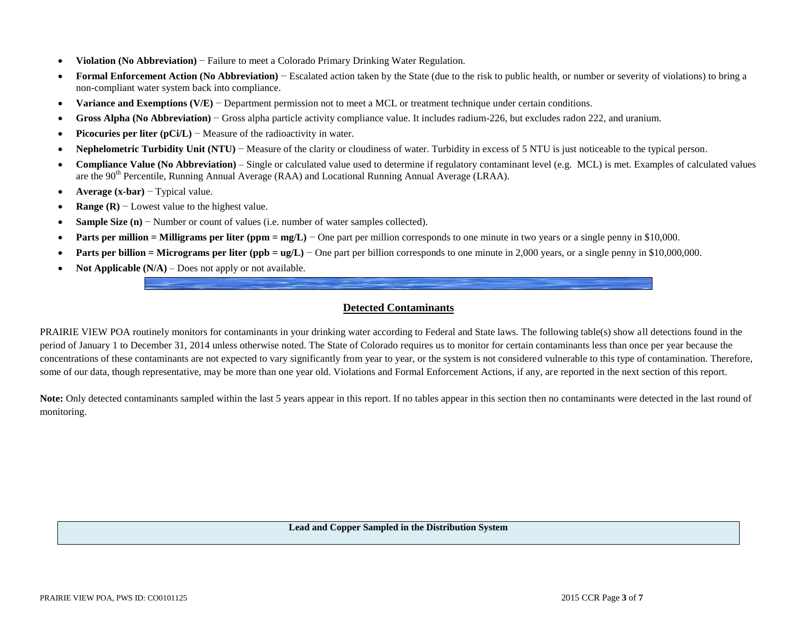- **Violation (No Abbreviation)** − Failure to meet a Colorado Primary Drinking Water Regulation.
- **Formal Enforcement Action (No Abbreviation)** − Escalated action taken by the State (due to the risk to public health, or number or severity of violations) to bring a non-compliant water system back into compliance.
- **Variance and Exemptions (V/E)** − Department permission not to meet a MCL or treatment technique under certain conditions.
- **Gross Alpha (No Abbreviation)** − Gross alpha particle activity compliance value. It includes radium-226, but excludes radon 222, and uranium.
- **Picocuries per liter (pCi/L)** − Measure of the radioactivity in water.
- **Nephelometric Turbidity Unit (NTU)** − Measure of the clarity or cloudiness of water. Turbidity in excess of 5 NTU is just noticeable to the typical person.
- **Compliance Value (No Abbreviation)** Single or calculated value used to determine if regulatory contaminant level (e.g. MCL) is met. Examples of calculated values are the 90<sup>th</sup> Percentile, Running Annual Average (RAA) and Locational Running Annual Average (LRAA).
- **Average (x-bar)** − Typical value.
- **Range (R)** − Lowest value to the highest value.
- **Sample Size (n)** − Number or count of values (i.e. number of water samples collected).
- **Parts per million = Milligrams per liter (ppm = mg/L)** One part per million corresponds to one minute in two years or a single penny in \$10,000.
- **Parts per billion = Micrograms per liter (ppb = ug/L)** One part per billion corresponds to one minute in 2,000 years, or a single penny in \$10,000,000.
- **Not Applicable**  $(N/A)$  Does not apply or not available.

## **Detected Contaminants**

PRAIRIE VIEW POA routinely monitors for contaminants in your drinking water according to Federal and State laws. The following table(s) show all detections found in the period of January 1 to December 31, 2014 unless otherwise noted. The State of Colorado requires us to monitor for certain contaminants less than once per year because the concentrations of these contaminants are not expected to vary significantly from year to year, or the system is not considered vulnerable to this type of contamination. Therefore, some of our data, though representative, may be more than one year old. Violations and Formal Enforcement Actions, if any, are reported in the next section of this report.

Note: Only detected contaminants sampled within the last 5 years appear in this report. If no tables appear in this section then no contaminants were detected in the last round of monitoring.

**Lead and Copper Sampled in the Distribution System**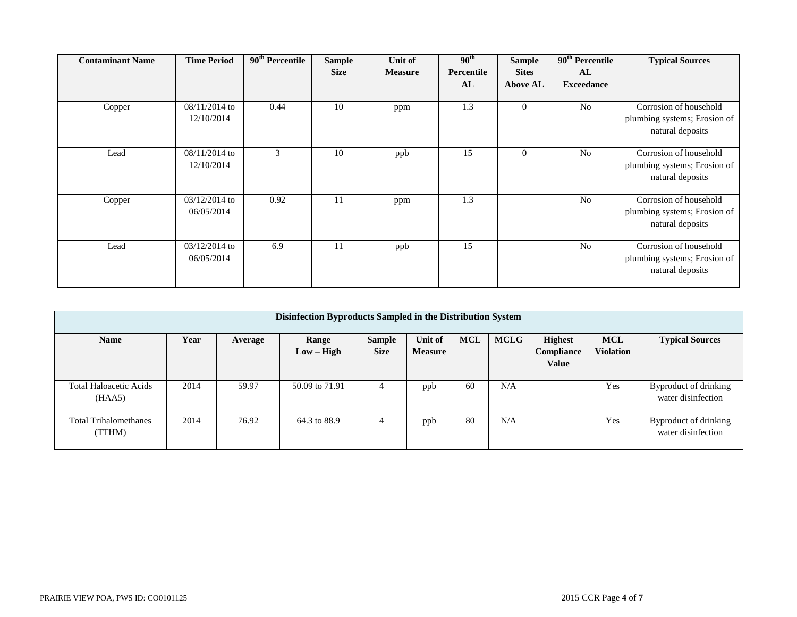| <b>Contaminant Name</b> | <b>Time Period</b> | $90th$ Percentile | <b>Sample</b> | Unit of        | 90 <sup>th</sup> | <b>Sample</b>   | 90 <sup>th</sup> Percentile | <b>Typical Sources</b>       |
|-------------------------|--------------------|-------------------|---------------|----------------|------------------|-----------------|-----------------------------|------------------------------|
|                         |                    |                   | <b>Size</b>   | <b>Measure</b> | Percentile       | <b>Sites</b>    | AL                          |                              |
|                         |                    |                   |               |                | AL               | <b>Above AL</b> | <b>Exceedance</b>           |                              |
|                         |                    |                   |               |                |                  |                 |                             |                              |
| Copper                  | 08/11/2014 to      | 0.44              | 10            | ppm            | 1.3              | $\theta$        | N <sub>0</sub>              | Corrosion of household       |
|                         | 12/10/2014         |                   |               |                |                  |                 |                             | plumbing systems; Erosion of |
|                         |                    |                   |               |                |                  |                 |                             | natural deposits             |
|                         |                    |                   |               |                |                  |                 |                             |                              |
| Lead                    | $08/11/2014$ to    | 3                 | 10            | ppb            | 15               | $\theta$        | N <sub>0</sub>              | Corrosion of household       |
|                         | 12/10/2014         |                   |               |                |                  |                 |                             | plumbing systems; Erosion of |
|                         |                    |                   |               |                |                  |                 |                             | natural deposits             |
|                         |                    |                   |               |                |                  |                 |                             |                              |
| Copper                  | $03/12/2014$ to    | 0.92              | 11            | ppm            | 1.3              |                 | N <sub>0</sub>              | Corrosion of household       |
|                         | 06/05/2014         |                   |               |                |                  |                 |                             | plumbing systems; Erosion of |
|                         |                    |                   |               |                |                  |                 |                             | natural deposits             |
|                         |                    |                   |               |                |                  |                 |                             |                              |
| Lead                    | $03/12/2014$ to    | 6.9               | 11            | ppb            | 15               |                 | N <sub>0</sub>              | Corrosion of household       |
|                         | 06/05/2014         |                   |               |                |                  |                 |                             | plumbing systems; Erosion of |
|                         |                    |                   |               |                |                  |                 |                             | natural deposits             |
|                         |                    |                   |               |                |                  |                 |                             |                              |

| Disinfection Byproducts Sampled in the Distribution System |      |         |                       |                              |                           |            |             |                                              |                                |                                             |
|------------------------------------------------------------|------|---------|-----------------------|------------------------------|---------------------------|------------|-------------|----------------------------------------------|--------------------------------|---------------------------------------------|
| <b>Name</b>                                                | Year | Average | Range<br>$Low - High$ | <b>Sample</b><br><b>Size</b> | Unit of<br><b>Measure</b> | <b>MCL</b> | <b>MCLG</b> | <b>Highest</b><br>Compliance<br><b>Value</b> | <b>MCL</b><br><b>Violation</b> | <b>Typical Sources</b>                      |
| <b>Total Haloacetic Acids</b><br>(HAA5)                    | 2014 | 59.97   | 50.09 to 71.91        | 4                            | ppb                       | 60         | N/A         |                                              | Yes                            | Byproduct of drinking<br>water disinfection |
| <b>Total Trihalomethanes</b><br>(TTHM)                     | 2014 | 76.92   | 64.3 to 88.9          | 4                            | ppb                       | 80         | N/A         |                                              | Yes                            | Byproduct of drinking<br>water disinfection |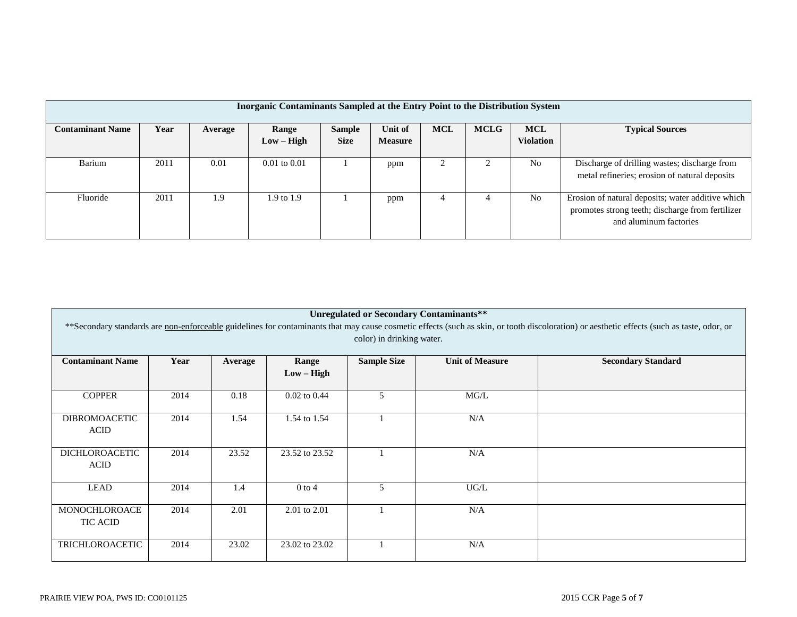| Inorganic Contaminants Sampled at the Entry Point to the Distribution System |      |         |                       |                              |                           |            |             |                                |                                                                                                                                 |
|------------------------------------------------------------------------------|------|---------|-----------------------|------------------------------|---------------------------|------------|-------------|--------------------------------|---------------------------------------------------------------------------------------------------------------------------------|
| <b>Contaminant Name</b>                                                      | Year | Average | Range<br>$Low - High$ | <b>Sample</b><br><b>Size</b> | Unit of<br><b>Measure</b> | <b>MCL</b> | <b>MCLG</b> | <b>MCL</b><br><b>Violation</b> | <b>Typical Sources</b>                                                                                                          |
| Barium                                                                       | 2011 | 0.01    | $0.01$ to $0.01$      |                              | ppm                       |            |             | N <sub>0</sub>                 | Discharge of drilling wastes; discharge from<br>metal refineries; erosion of natural deposits                                   |
| Fluoride                                                                     | 2011 | 1.9     | $1.9 \text{ to } 1.9$ |                              | ppm                       |            |             | N <sub>0</sub>                 | Erosion of natural deposits; water additive which<br>promotes strong teeth; discharge from fertilizer<br>and aluminum factories |

| <b>Unregulated or Secondary Contaminants**</b><br>** Secondary standards are non-enforceable guidelines for contaminants that may cause cosmetic effects (such as skin, or tooth discoloration) or aesthetic effects (such as taste, odor, or<br>color) in drinking water. |      |         |                       |                    |                        |                           |  |  |  |
|----------------------------------------------------------------------------------------------------------------------------------------------------------------------------------------------------------------------------------------------------------------------------|------|---------|-----------------------|--------------------|------------------------|---------------------------|--|--|--|
| <b>Contaminant Name</b>                                                                                                                                                                                                                                                    | Year | Average | Range<br>$Low - High$ | <b>Sample Size</b> | <b>Unit of Measure</b> | <b>Secondary Standard</b> |  |  |  |
| <b>COPPER</b>                                                                                                                                                                                                                                                              | 2014 | 0.18    | $0.02$ to $0.44$      | 5                  | MG/L                   |                           |  |  |  |
| <b>DIBROMOACETIC</b><br><b>ACID</b>                                                                                                                                                                                                                                        | 2014 | 1.54    | 1.54 to 1.54          |                    | N/A                    |                           |  |  |  |
| <b>DICHLOROACETIC</b><br><b>ACID</b>                                                                                                                                                                                                                                       | 2014 | 23.52   | 23.52 to 23.52        |                    | N/A                    |                           |  |  |  |
| LEAD                                                                                                                                                                                                                                                                       | 2014 | 1.4     | $0$ to $4$            | 5                  | $UG/L$                 |                           |  |  |  |
| MONOCHLOROACE<br><b>TIC ACID</b>                                                                                                                                                                                                                                           | 2014 | 2.01    | 2.01 to 2.01          |                    | N/A                    |                           |  |  |  |
| <b>TRICHLOROACETIC</b>                                                                                                                                                                                                                                                     | 2014 | 23.02   | 23.02 to 23.02        |                    | N/A                    |                           |  |  |  |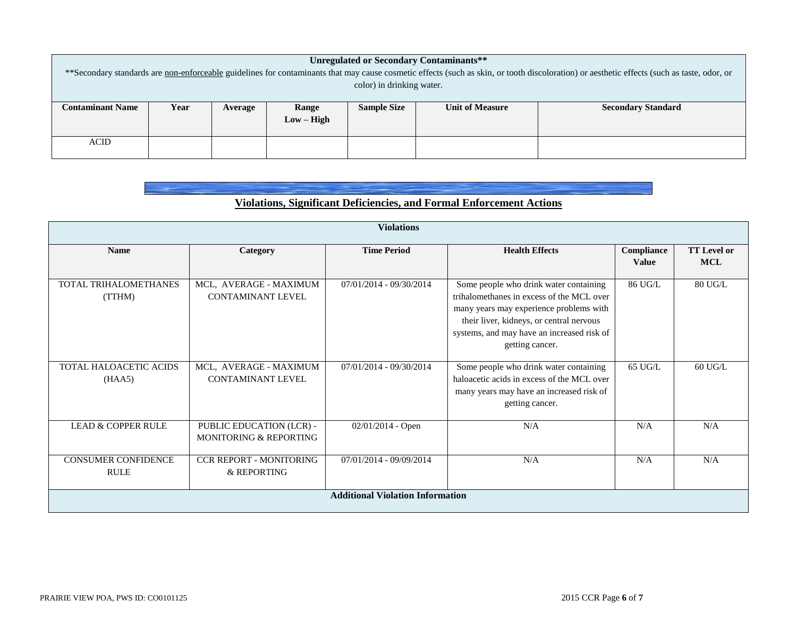| <b>Unregulated or Secondary Contaminants**</b>                                                                                                                                             |              |         |       |                    |                        |                           |  |  |  |
|--------------------------------------------------------------------------------------------------------------------------------------------------------------------------------------------|--------------|---------|-------|--------------------|------------------------|---------------------------|--|--|--|
| **Secondary standards are non-enforceable guidelines for contaminants that may cause cosmetic effects (such as skin, or tooth discoloration) or aesthetic effects (such as taste, odor, or |              |         |       |                    |                        |                           |  |  |  |
| color) in drinking water.                                                                                                                                                                  |              |         |       |                    |                        |                           |  |  |  |
|                                                                                                                                                                                            |              |         |       |                    |                        |                           |  |  |  |
| <b>Contaminant Name</b>                                                                                                                                                                    | Year         | Average | Range | <b>Sample Size</b> | <b>Unit of Measure</b> | <b>Secondary Standard</b> |  |  |  |
|                                                                                                                                                                                            | $Low - High$ |         |       |                    |                        |                           |  |  |  |
|                                                                                                                                                                                            |              |         |       |                    |                        |                           |  |  |  |
| <b>ACID</b>                                                                                                                                                                                |              |         |       |                    |                        |                           |  |  |  |
|                                                                                                                                                                                            |              |         |       |                    |                        |                           |  |  |  |

# **Violations, Significant Deficiencies, and Formal Enforcement Actions**

|                                           |                                                    | <b>Violations</b>       |                                                                                                                                                                                                                                             |                            |                           |  |  |  |  |
|-------------------------------------------|----------------------------------------------------|-------------------------|---------------------------------------------------------------------------------------------------------------------------------------------------------------------------------------------------------------------------------------------|----------------------------|---------------------------|--|--|--|--|
| <b>Name</b>                               | Category                                           | <b>Time Period</b>      | <b>Health Effects</b>                                                                                                                                                                                                                       | Compliance<br><b>Value</b> | <b>TT Level or</b><br>MCL |  |  |  |  |
| TOTAL TRIHALOMETHANES<br>(TTHM)           | MCL, AVERAGE - MAXIMUM<br><b>CONTAMINANT LEVEL</b> | 07/01/2014 - 09/30/2014 | Some people who drink water containing<br>trihalomethanes in excess of the MCL over<br>many years may experience problems with<br>their liver, kidneys, or central nervous<br>systems, and may have an increased risk of<br>getting cancer. | 86 UG/L                    | 80 UG/L                   |  |  |  |  |
| <b>TOTAL HALOACETIC ACIDS</b><br>(HAA5)   | MCL, AVERAGE - MAXIMUM<br><b>CONTAMINANT LEVEL</b> | 07/01/2014 - 09/30/2014 | Some people who drink water containing<br>haloacetic acids in excess of the MCL over<br>many years may have an increased risk of<br>getting cancer.                                                                                         | 65 UG/L                    | $60$ UG/L                 |  |  |  |  |
| <b>LEAD &amp; COPPER RULE</b>             | PUBLIC EDUCATION (LCR) -<br>MONITORING & REPORTING | $02/01/2014$ - Open     | N/A                                                                                                                                                                                                                                         | N/A                        | N/A                       |  |  |  |  |
| <b>CONSUMER CONFIDENCE</b><br><b>RULE</b> | <b>CCR REPORT - MONITORING</b><br>& REPORTING      | 07/01/2014 - 09/09/2014 | N/A                                                                                                                                                                                                                                         | N/A                        | N/A                       |  |  |  |  |
| <b>Additional Violation Information</b>   |                                                    |                         |                                                                                                                                                                                                                                             |                            |                           |  |  |  |  |